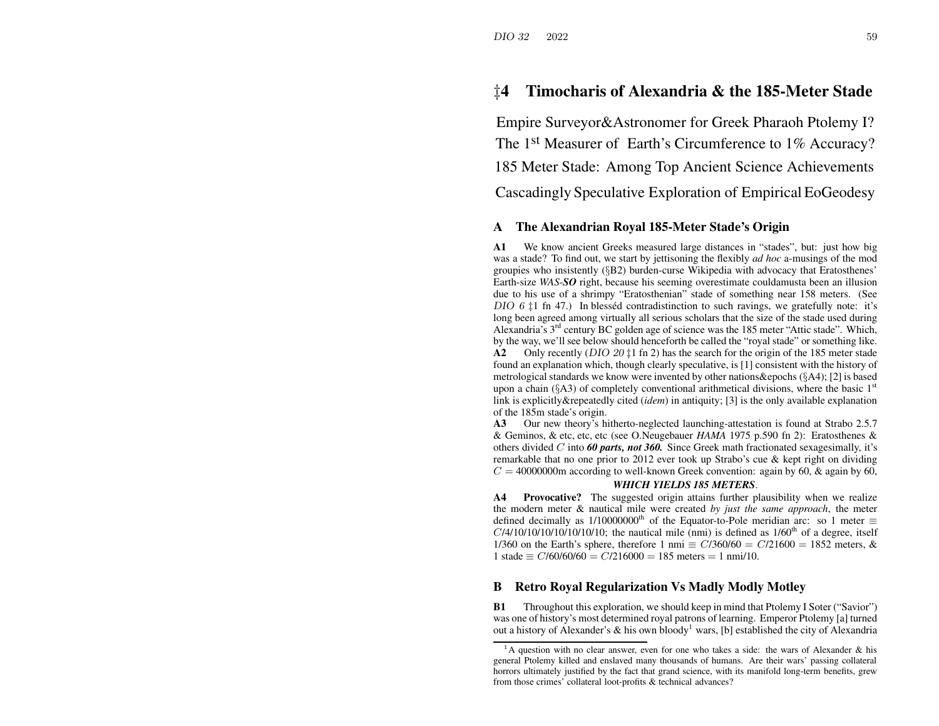# ‡**4 Timocharis of Alexandria & the 185-Meter Stade**

Empire Surveyor&Astronomer for Greek Pharaoh Ptolemy I? The 1<sup>st</sup> Measurer of Earth's Circumference to 1% Accuracy? 185 Meter Stade: Among Top Ancient Science Achievements Cascadingly Speculative Exploration of Empirical EoGeodesy

### **A The Alexandrian Royal 185-Meter Stade's Origin**

**A1** We know ancient Greeks measured large distances in "stades", but: just how big was a stade? To find out, we start by jettisoning the flexibly *ad hoc* a-musings of the mod groupies who insistently (§B2) burden-curse Wikipedia with advocacy that Eratosthenes' Earth-size *WAS*-*SO* right, because his seeming overestimate couldamusta been an illusion due to his use of <sup>a</sup> shrimpy "Eratosthenian" stade of something near 158 meters. (See DIO 6  $\ddagger$ 1 fn 47.) In blesséd contradistinction to such ravings, we gratefully note: it's long been agreed among virtually all serious scholars that the size of the stade used during Alexandria's 3<sup>rd</sup> century BC golden age of science was the 185 meter "Attic stade". Which, by the way, we'll see below should henceforth be called the "royal stade" or something like. **A2** Only recently (DIO 20 ‡1 fn 2) has the search for the origin of the 185 meter stade found an explanation which, though clearly speculative, is [1] consistent with the history of metrological standards we know were invented by other nations&epochs (§A4); [2] is based upon a chain ( $\S$ A3) of completely conventional arithmetical divisions, where the basic 1<sup>st</sup> link is explicitly&repeatedly cited (*idem*) in antiquity; [3] is the only available explanation of the 185m stade's origin.

**A3** Our new theory's hitherto-neglected launching-attestation is found at Strabo 2.5.7 & Geminos, & etc, etc, etc (see O.Neugebauer *HAMA* 1975 p.590 fn 2): Eratosthenes & others divided C into *60 parts, not 360.* Since Greek math fractionated sexagesimally, it's remarkable that no one prior to 2012 ever took up Strabo's cue & kept right on dividing  $C = 40000000$ m according to well-known Greek convention: again by 60, & again by 60,

## *WHICH YIELDS 185 METERS*.

**A4Provocative?** The suggested origin attains further plausibility when we realize the modern meter & nautical mile were created *by just the same approach*, the meter defined decimally as 1/10000000<sup>th</sup> of the Equator-to-Pole meridian arc: so 1 meter  $\equiv$  $C/4/10/10/10/10/10/10$ ; the nautical mile (nmi) is defined as  $1/60<sup>th</sup>$  of a degree, itself 1/360 on the Earth's sphere, therefore 1 nmi  $\equiv C/360/60 = C/21600 = 1852$  meters, &  $1 \text{ stade} \equiv C/60/60/60 = C/216000 = 185 \text{ meters} = 1 \text{ nm}$ 

#### **BRetro Royal Regularization Vs Madly Modly Motley**

**B1** Throughout this exploration, we should keep in mind that Ptolemy I Soter ("Savior") was one of history's most determined royal patrons of learning. Emperor Ptolemy [a] turned out a history of Alexander's & his own bloody $^1$  wars, [b] established the city of Alexandria

 $1<sup>A</sup>$  A question with no clear answer, even for one who takes a side: the wars of Alexander & his general Ptolemy killed and enslaved many thousands of humans. Are their wars' passing collateral horrors ultimately justified by the fact that grand science, with its manifold long-term benefits, grew from those crimes' collateral loot-profits & technical advances?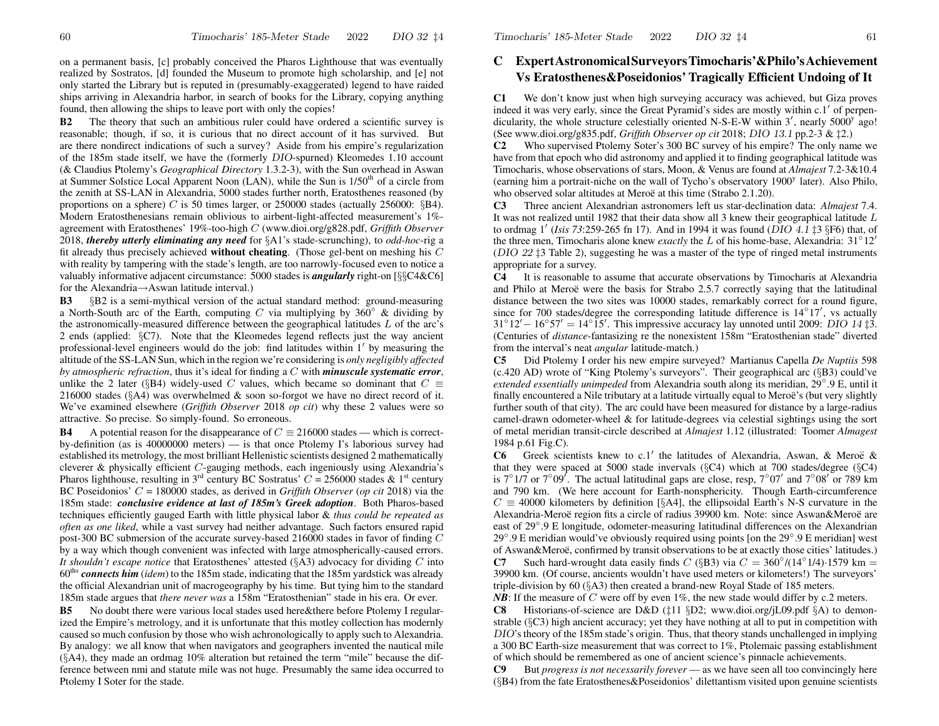on <sup>a</sup> permanen<sup>t</sup> basis, [c] probably conceived the Pharos Lighthouse that was eventually realized by Sostratos, [d] founded the Museum to promote high scholarship, and [e] not only started the Library but is reputed in (presumably-exaggerated) legend to have raided ships arriving in Alexandria harbor, in search of books for the Library, copying anything found, then allowing the ships to leave por<sup>t</sup> with only the copies!

**B2** The theory that such an ambitious ruler could have ordered <sup>a</sup> scientific survey is reasonable; though, if so, it is curious that no direct account of it has survived. But are there nondirect indications of such <sup>a</sup> survey? Aside from his empire's regularization of the 185m stade itself, we have the (formerly DIO-spurned) Kleomedes 1.10 account (& Claudius Ptolemy's *Geographical Directory* 1.3.2-3), with the Sun overhead in Aswan at Summer Solstice Local Apparent Noon (LAN), while the Sun is 1/50<sup>th</sup> of a circle from the zenith at SS-LAN in Alexandria, 5000 stades further north, Eratosthenes reasoned (by proportions on a sphere) C is 50 times larger, or 250000 stades (actually 256000:  $\S B4$ ). Modern Eratosthenesians remain oblivious to airbent-light-affected measurement's 1% agreemen<sup>t</sup> with Eratosthenes' 19%-too-high C (www.dioi.org/g828.pdf, *Griffith Observer* 2018, *thereby utterly eliminating any need* for §A1's stade-scrunching), to *odd-hoc*-rig <sup>a</sup> fit already thus precisely achieved **without cheating**. (Those gel-bent on meshing his C with reality by tampering with the stade's length, are too narrowly-focused even to notice <sup>a</sup> valuably informative adjacent circumstance: 5000 stades is *angularly* right-on [§§C4&C6] for the Alexandria→Aswan latitude interval.)

**B3** §B2 is <sup>a</sup> semi-mythical version of the actual standard method: ground-measuring a North-South arc of the Earth, computing C via multiplying by 360° & dividing by the astronomically-measured difference between the geographical latitudes  $L$  of the arc's 2 ends (applied: §C7). Note that the Kleomedes legend reflects just the way ancient professional-level engineers would do the job: find latitudes within  $1'$  by measuring the altitude of the SS-LAN Sun, which in the region we're considering is *only negligibly affected by atmospheric refraction*, thus it's ideal for finding <sup>a</sup> C with *minuscule systematic error*, unlike the 2 later (§B4) widely-used C values, which became so dominant that  $C \equiv$ 216000 stades (§A4) was overwhelmed& soon so-forgot we have no direct record of it. We've examined elsewhere (*Griffith Observer* 2018 *op cit*) why these 2 values were so attractive. So precise. So simply-found. So erroneous.

**B4**A potential reason for the disappearance of  $C \equiv 216000$  stades — which is correct by-definition (as is 40000000 meters) — is that once Ptolemy I's laborious survey had established its metrology, the most brilliant Hellenistic scientists designed 2 mathematically cleverer& physically efficient C-gauging methods, each ingeniously using Alexandria's Pharos lighthouse, resulting in 3<sup>rd</sup> century BC Sostratus'  $C = 256000$  stades & 1<sup>st</sup> century BC Poseidonios' C= 180000 stades, as derived in *Griffith Observer* (*op cit* 2018) via the 185m stade: *conclusive evidence at last of 185m's Greek adoption*. Both Pharos-based techniques efficiently gauged Earth with little physical labor & *thus could be repeated as often as one liked*, while <sup>a</sup> vast survey had neither advantage. Such factors ensured rapid post-300 BC submersion of the accurate survey-based 216000 stades in favor of finding  $C$ by <sup>a</sup> way which though convenient was infected with large atmospherically-caused errors. *It shouldn't escape notice* that Eratosthenes' attested (§A3) advocacy for dividing C into 60<sup>ths</sup> *connects him* (*idem*) to the 185m stade, indicating that the 185m yardstick was already the official Alexandrian unit of macrogeography by his time. But tying him to the standard 185m stade argues that *there never was* <sup>a</sup> 158m "Eratosthenian" stade in his era. Or ever.

**B5** No doubt there were various local stades used here&there before Ptolemy I regularized the Empire's metrology, and it is unfortunate that this motley collection has modernly caused so much confusion by those who wish achronologically to apply such to Alexandria. By analogy: we all kno w that when navigators and geographers invented the nautical mile (§A4), they made an ordmag 10% alteration but retained the term "mile" because the difference between nmi and statute mile was not huge. Presumably the same idea occurred to Ptolemy I Soter for the stade.

# **C ExpertAstronomicalSur veyors Timocharis'&Philo'sAchievement Vs Eratosthenes&Poseidonios' Tragically Efficient Undoing of It**

**C1**We don't know just when high surveying accuracy was achieved, but Giza proves indeed it was very early, since the Great Pyramid's sides are mostly within c.1' of perpendicularity, the whole structure celestially oriented N-S-E-W within  $3'$ , nearly  $5000^{\circ}$  ago! (See www.dioi.org/g835.pdf, *Griffith Observer op cit* 2018; DIO 13.1 pp.2-3 & ‡2.)

**C2** Who supervised Ptolemy Soter's 300 BC survey of his empire? The only name we have from that epoch who did astronomy and applied it to finding geographical latitude wasTimocharis, whose observations of stars, Moon, & Venus are found at *Almajest* 7.2-3&10.4 (earning him a portrait-niche on the wall of Tycho's observatory 1900<sup>y</sup> later). Also Philo, who observed solar altitudes at Meroë at this time (Strabo 2.1.20).

**C3** Three ancient Alexandrian astronomers left us star-declination data: *Almajest* 7.4. It was not realized until 1982 that their data show all 3 knew their geographical latitude  $L$ to ordmag 1' (*Isis* 73:259-265 fn 17). And in 1994 it was found (*DIO 4.1* ‡3 §F6) that, of the three men, Timocharis alone knew *exactly* the L of his home-base, Alexandria:  $31°12'$ (DIO 22 ‡3 Table 2), suggesting he was a master of the type of ringed metal instruments appropriate for <sup>a</sup> survey.

**C4** It is reasonable to assume that accurate observations by Timocharis at Alexandriaand Philo at Meroe¨ were the basis for Strabo 2.5.7 correctly saying that the latitudinal distance between the two sites was 10000 stades, remarkably correct for <sup>a</sup> round figure, since for 700 stades/degree the corresponding latitude difference is  $14^{\circ}17'$ , vs actually  $31^{\circ}12' - 16^{\circ}57' = 14^{\circ}15'$ . This impressive accuracy lay unnoted until 2009: DIO 14 ‡3. (Centuries of *distance*-fantasizing re the nonexistent 158m "Eratosthenian stade" diverted from the interval's neat *angular* latitude-match.)

**C5** Did Ptolemy I order his ne w empire surveyed? Martianus Capella *De Nuptiis* 598 (c.420 AD) wrote of "King Ptolemy's surveyors". Their geographical arc (§B3) could've *extended essentially unimpeded* from Alexandria south along its meridian, 29◦.9 E, until it finally encountered a Nile tributary at a latitude virtually equal to Meroë's (but very slightly further south of that city). The arc could have been measured for distance by <sup>a</sup> large-radius camel-drawn odometer-wheel & for latitude-degrees via celestial sightings using the sort of metal meridian transit-circle described at *Almajest* 1.12 (illustrated: Toomer *Almagest* 1984 p.61 Fig.C).

C6 Greek scientists knew to c.1<sup>'</sup> the latitudes of Alexandria, Aswan, & Meroë & that they were spaced at 5000 stade invervals (§C4) which at 700 stades/degree (§C4) is 7°1/7 or 7°09'. The actual latitudinal gaps are close, resp, 7°07' and 7°08' or 789 km and 790 km. (We here account for Earth-nonsphericity. Though Earth-circumference  $C \equiv 40000$  kilometers by definition [§A4], the ellipsoidal Earth's N-S curvature in the Alexandria-Meroë region fits a circle of radius 39900 km. Note: since Aswan&Meroë are east of 29◦.9 E longitude, odometer-measuring latitudinal differences on the Alexandrian 29◦.9E meridian would've obviously required using points [on the 29◦.9 E meridian] west of Aswan&Meroë, confirmed by transit observations to be at exactly those cities' latitudes.)

**C7Such hard-wrought data easily finds** C (§B3) via  $C = 360°/(14°1/4) \cdot 1579$  km = 39900 km. (Of course, ancients wouldn't have used meters or kilometers!) The surveyors' triple-division by 60 (§A3) then created <sup>a</sup> brand-ne w Royal Stade of 185 meters.

*NB*: If the measure of C were off by even  $1\%$ , the new stade would differ by c.2 meters.

**C88** Historians-of-science are D&D ( $\ddagger$ 11 §D2; www.dioi.org/jL09.pdf §A) to demonstrable (§C3) high ancient accuracy; ye<sup>t</sup> they have nothing at all to pu<sup>t</sup> in competition with DIO's theory of the 185m stade's origin. Thus, that theory stands unchallenged in implying a 300 BC Earth-size measurement that was correct to 1%, Ptolemaic passing establishment of which should be remembered as one of ancient science's pinnacle achievements.

**C9** But *progress is not necessarily forever* — as we have seen all too convincingly here (§B4) from the fate Eratosthenes&Poseidonios' dilettantism visited upon genuine scientists